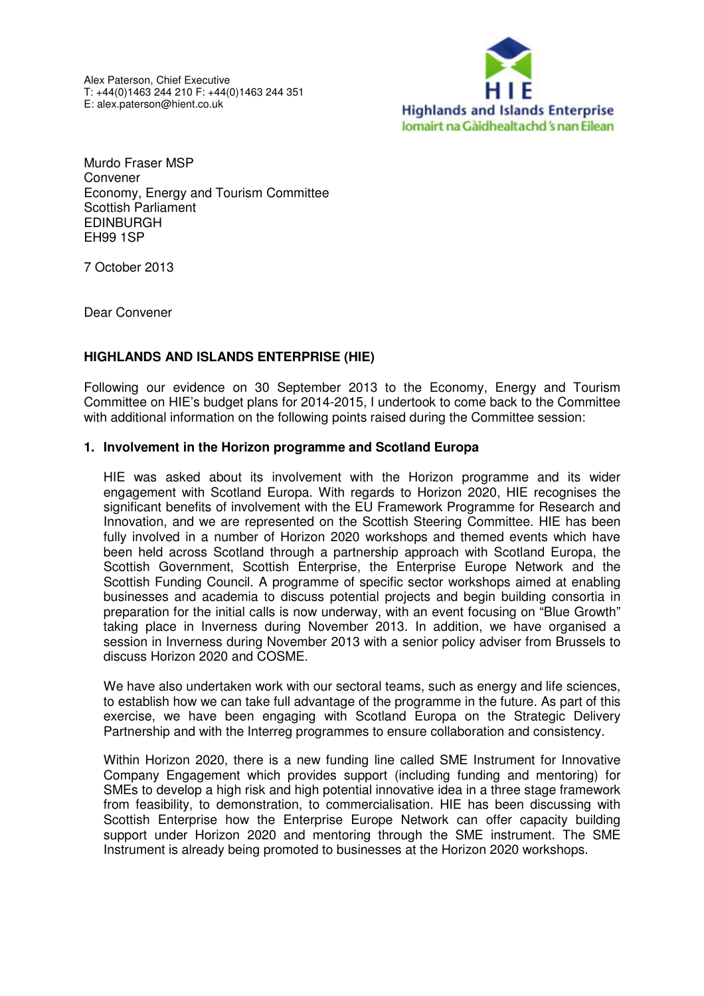Alex Paterson, Chief Executive T: +44(0)1463 244 210 F: +44(0)1463 244 351 E: alex.paterson@hient.co.uk



Murdo Fraser MSP Convener Economy, Energy and Tourism Committee Scottish Parliament EDINBURGH EH99 1SP

7 October 2013

Dear Convener

## **HIGHLANDS AND ISLANDS ENTERPRISE (HIE)**

Following our evidence on 30 September 2013 to the Economy, Energy and Tourism Committee on HIE's budget plans for 2014-2015, I undertook to come back to the Committee with additional information on the following points raised during the Committee session:

## **1. Involvement in the Horizon programme and Scotland Europa**

HIE was asked about its involvement with the Horizon programme and its wider engagement with Scotland Europa. With regards to Horizon 2020, HIE recognises the significant benefits of involvement with the EU Framework Programme for Research and Innovation, and we are represented on the Scottish Steering Committee. HIE has been fully involved in a number of Horizon 2020 workshops and themed events which have been held across Scotland through a partnership approach with Scotland Europa, the Scottish Government, Scottish Enterprise, the Enterprise Europe Network and the Scottish Funding Council. A programme of specific sector workshops aimed at enabling businesses and academia to discuss potential projects and begin building consortia in preparation for the initial calls is now underway, with an event focusing on "Blue Growth" taking place in Inverness during November 2013. In addition, we have organised a session in Inverness during November 2013 with a senior policy adviser from Brussels to discuss Horizon 2020 and COSME.

We have also undertaken work with our sectoral teams, such as energy and life sciences, to establish how we can take full advantage of the programme in the future. As part of this exercise, we have been engaging with Scotland Europa on the Strategic Delivery Partnership and with the Interreg programmes to ensure collaboration and consistency.

Within Horizon 2020, there is a new funding line called SME Instrument for Innovative Company Engagement which provides support (including funding and mentoring) for SMEs to develop a high risk and high potential innovative idea in a three stage framework from feasibility, to demonstration, to commercialisation. HIE has been discussing with Scottish Enterprise how the Enterprise Europe Network can offer capacity building support under Horizon 2020 and mentoring through the SME instrument. The SME Instrument is already being promoted to businesses at the Horizon 2020 workshops.